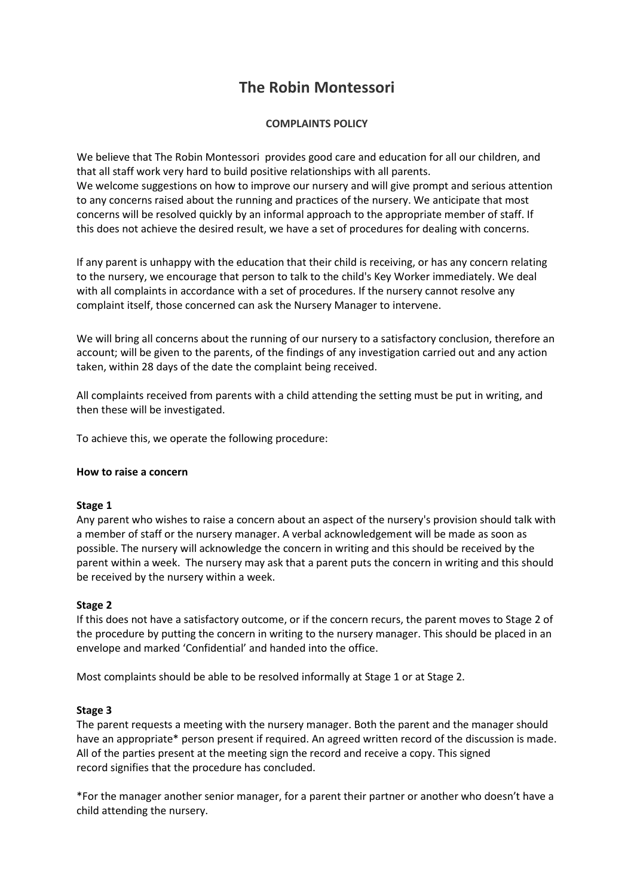# **The Robin Montessori**

# **COMPLAINTS POLICY**

We believe that The Robin Montessori provides good care and education for all our children, and that all staff work very hard to build positive relationships with all parents. We welcome suggestions on how to improve our nursery and will give prompt and serious attention to any concerns raised about the running and practices of the nursery. We anticipate that most concerns will be resolved quickly by an informal approach to the appropriate member of staff. If this does not achieve the desired result, we have a set of procedures for dealing with concerns.

If any parent is unhappy with the education that their child is receiving, or has any concern relating to the nursery, we encourage that person to talk to the child's Key Worker immediately. We deal with all complaints in accordance with a set of procedures. If the nursery cannot resolve any complaint itself, those concerned can ask the Nursery Manager to intervene.

We will bring all concerns about the running of our nursery to a satisfactory conclusion, therefore an account; will be given to the parents, of the findings of any investigation carried out and any action taken, within 28 days of the date the complaint being received.

All complaints received from parents with a child attending the setting must be put in writing, and then these will be investigated.

To achieve this, we operate the following procedure:

## **How to raise a concern**

## **Stage 1**

Any parent who wishes to raise a concern about an aspect of the nursery's provision should talk with a member of staff or the nursery manager. A verbal acknowledgement will be made as soon as possible. The nursery will acknowledge the concern in writing and this should be received by the parent within a week. The nursery may ask that a parent puts the concern in writing and this should be received by the nursery within a week.

## **Stage 2**

If this does not have a satisfactory outcome, or if the concern recurs, the parent moves to Stage 2 of the procedure by putting the concern in writing to the nursery manager. This should be placed in an envelope and marked 'Confidential' and handed into the office.

Most complaints should be able to be resolved informally at Stage 1 or at Stage 2.

## **Stage 3**

The parent requests a meeting with the nursery manager. Both the parent and the manager should have an appropriate\* person present if required. An agreed written record of the discussion is made. All of the parties present at the meeting sign the record and receive a copy. This signed record signifies that the procedure has concluded.

\*For the manager another senior manager, for a parent their partner or another who doesn't have a child attending the nursery.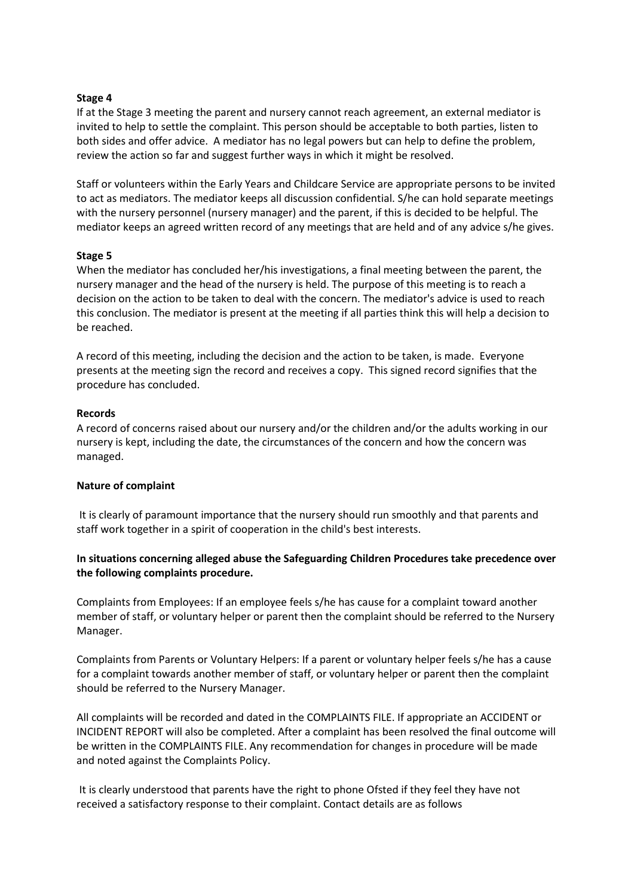#### **Stage 4**

If at the Stage 3 meeting the parent and nursery cannot reach agreement, an external mediator is invited to help to settle the complaint. This person should be acceptable to both parties, listen to both sides and offer advice. A mediator has no legal powers but can help to define the problem, review the action so far and suggest further ways in which it might be resolved.

Staff or volunteers within the Early Years and Childcare Service are appropriate persons to be invited to act as mediators. The mediator keeps all discussion confidential. S/he can hold separate meetings with the nursery personnel (nursery manager) and the parent, if this is decided to be helpful. The mediator keeps an agreed written record of any meetings that are held and of any advice s/he gives.

#### **Stage 5**

When the mediator has concluded her/his investigations, a final meeting between the parent, the nursery manager and the head of the nursery is held. The purpose of this meeting is to reach a decision on the action to be taken to deal with the concern. The mediator's advice is used to reach this conclusion. The mediator is present at the meeting if all parties think this will help a decision to be reached.

A record of this meeting, including the decision and the action to be taken, is made. Everyone presents at the meeting sign the record and receives a copy. This signed record signifies that the procedure has concluded.

#### **Records**

A record of concerns raised about our nursery and/or the children and/or the adults working in our nursery is kept, including the date, the circumstances of the concern and how the concern was managed.

## **Nature of complaint**

It is clearly of paramount importance that the nursery should run smoothly and that parents and staff work together in a spirit of cooperation in the child's best interests.

## **In situations concerning alleged abuse the Safeguarding Children Procedures take precedence over the following complaints procedure.**

Complaints from Employees: If an employee feels s/he has cause for a complaint toward another member of staff, or voluntary helper or parent then the complaint should be referred to the Nursery Manager.

Complaints from Parents or Voluntary Helpers: If a parent or voluntary helper feels s/he has a cause for a complaint towards another member of staff, or voluntary helper or parent then the complaint should be referred to the Nursery Manager.

All complaints will be recorded and dated in the COMPLAINTS FILE. If appropriate an ACCIDENT or INCIDENT REPORT will also be completed. After a complaint has been resolved the final outcome will be written in the COMPLAINTS FILE. Any recommendation for changes in procedure will be made and noted against the Complaints Policy.

It is clearly understood that parents have the right to phone Ofsted if they feel they have not received a satisfactory response to their complaint. Contact details are as follows